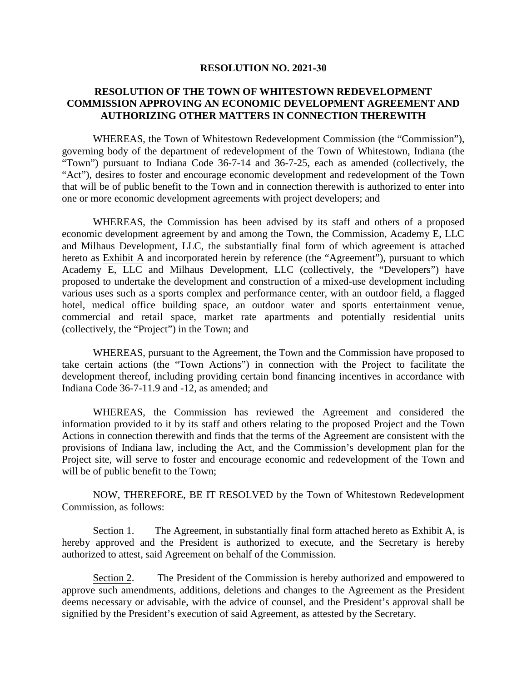## **RESOLUTION NO. 2021-30**

## **RESOLUTION OF THE TOWN OF WHITESTOWN REDEVELOPMENT COMMISSION APPROVING AN ECONOMIC DEVELOPMENT AGREEMENT AND AUTHORIZING OTHER MATTERS IN CONNECTION THEREWITH**

WHEREAS, the Town of Whitestown Redevelopment Commission (the "Commission"), governing body of the department of redevelopment of the Town of Whitestown, Indiana (the "Town") pursuant to Indiana Code 36-7-14 and 36-7-25, each as amended (collectively, the "Act"), desires to foster and encourage economic development and redevelopment of the Town that will be of public benefit to the Town and in connection therewith is authorized to enter into one or more economic development agreements with project developers; and

WHEREAS, the Commission has been advised by its staff and others of a proposed economic development agreement by and among the Town, the Commission, Academy E, LLC and Milhaus Development, LLC, the substantially final form of which agreement is attached hereto as Exhibit A and incorporated herein by reference (the "Agreement"), pursuant to which Academy E, LLC and Milhaus Development, LLC (collectively, the "Developers") have proposed to undertake the development and construction of a mixed-use development including various uses such as a sports complex and performance center, with an outdoor field, a flagged hotel, medical office building space, an outdoor water and sports entertainment venue, commercial and retail space, market rate apartments and potentially residential units (collectively, the "Project") in the Town; and

WHEREAS, pursuant to the Agreement, the Town and the Commission have proposed to take certain actions (the "Town Actions") in connection with the Project to facilitate the development thereof, including providing certain bond financing incentives in accordance with Indiana Code 36-7-11.9 and -12, as amended; and

WHEREAS, the Commission has reviewed the Agreement and considered the information provided to it by its staff and others relating to the proposed Project and the Town Actions in connection therewith and finds that the terms of the Agreement are consistent with the provisions of Indiana law, including the Act, and the Commission's development plan for the Project site, will serve to foster and encourage economic and redevelopment of the Town and will be of public benefit to the Town;

NOW, THEREFORE, BE IT RESOLVED by the Town of Whitestown Redevelopment Commission, as follows:

Section 1. The Agreement, in substantially final form attached hereto as Exhibit A, is hereby approved and the President is authorized to execute, and the Secretary is hereby authorized to attest, said Agreement on behalf of the Commission.

Section 2. The President of the Commission is hereby authorized and empowered to approve such amendments, additions, deletions and changes to the Agreement as the President deems necessary or advisable, with the advice of counsel, and the President's approval shall be signified by the President's execution of said Agreement, as attested by the Secretary.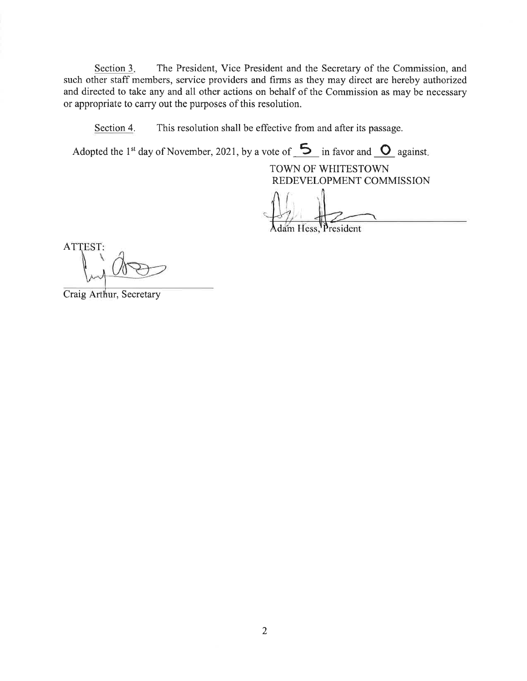Section 3. The President, Vice President and the Secretary of the Commission, and such other staff members, service providers and firms as they may direct are hereby authorized and directed to take any and all other actions on behalf of the Commission as may be necessary or appropriate to carry out the purposes of this resolution.

This resolution shall be effective from and after its passage. Section 4.

Adopted the 1<sup>st</sup> day of November, 2021, by a vote of  $\overline{5}$  in favor and  $\overline{0}$  against.

TOWN OF WHITESTOWN REDEVELOPMENT COMMISSION

im Hess, President

ATTEST:

Craig Arthur, Secretary